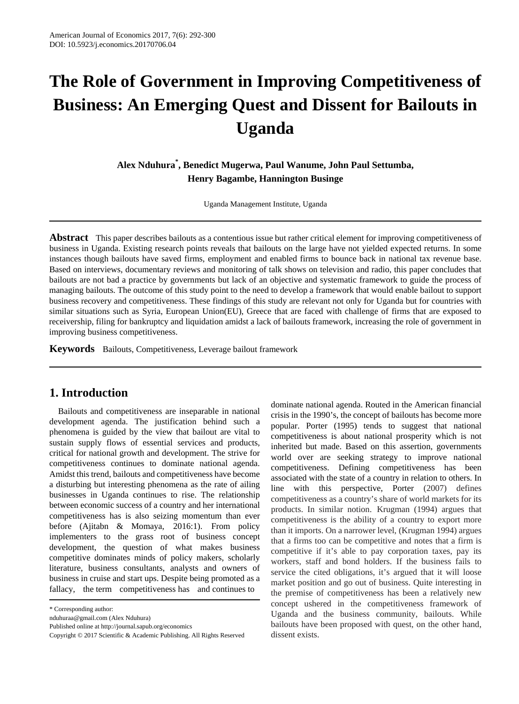# **The Role of Government in Improving Competitiveness of Business: An Emerging Quest and Dissent for Bailouts in Uganda**

**Alex Nduhura\* , Benedict Mugerwa, Paul Wanume, John Paul Settumba, Henry Bagambe, Hannington Businge**

Uganda Management Institute, Uganda

**Abstract** This paper describes bailouts as a contentious issue but rather critical element for improving competitiveness of business in Uganda. Existing research points reveals that bailouts on the large have not yielded expected returns. In some instances though bailouts have saved firms, employment and enabled firms to bounce back in national tax revenue base. Based on interviews, documentary reviews and monitoring of talk shows on television and radio, this paper concludes that bailouts are not bad a practice by governments but lack of an objective and systematic framework to guide the process of managing bailouts. The outcome of this study point to the need to develop a framework that would enable bailout to support business recovery and competitiveness. These findings of this study are relevant not only for Uganda but for countries with similar situations such as Syria, European Union(EU), Greece that are faced with challenge of firms that are exposed to receivership, filing for bankruptcy and liquidation amidst a lack of bailouts framework, increasing the role of government in improving business competitiveness.

**Keywords** Bailouts, Competitiveness, Leverage bailout framework

### **1. Introduction**

Bailouts and competitiveness are inseparable in national development agenda. The justification behind such a phenomena is guided by the view that bailout are vital to sustain supply flows of essential services and products, critical for national growth and development. The strive for competitiveness continues to dominate national agenda. Amidst this trend, bailouts and competitiveness have become a disturbing but interesting phenomena as the rate of ailing businesses in Uganda continues to rise. The relationship between economic success of a country and her international competitiveness has is also seizing momentum than ever before (Ajitabn & Momaya, 2016:1). From policy implementers to the grass root of business concept development, the question of what makes business competitive dominates minds of policy makers, scholarly literature, business consultants, analysts and owners of business in cruise and start ups. Despite being promoted as a fallacy, the term competitiveness has and continues to

nduhuraa@gmail.com (Alex Nduhura)

Published online at http://journal.sapub.org/economics

dominate national agenda. Routed in the American financial crisis in the 1990's, the concept of bailouts has become more popular. Porter (1995) tends to suggest that national competitiveness is about national prosperity which is not inherited but made. Based on this assertion, governments world over are seeking strategy to improve national competitiveness. Defining competitiveness has been associated with the state of a country in relation to others. In line with this perspective, Porter (2007) defines competitiveness as a country's share of world markets for its products. In similar notion. Krugman (1994) argues that competitiveness is the ability of a country to export more than it imports. On a narrower level, (Krugman 1994) argues that a firms too can be competitive and notes that a firm is competitive if it's able to pay corporation taxes, pay its workers, staff and bond holders. If the business fails to service the cited obligations, it's argued that it will loose market position and go out of business. Quite interesting in the premise of competitiveness has been a relatively new concept ushered in the competitiveness framework of Uganda and the business community, bailouts. While bailouts have been proposed with quest, on the other hand, dissent exists.

<sup>\*</sup> Corresponding author:

Copyright © 2017 Scientific & Academic Publishing. All Rights Reserved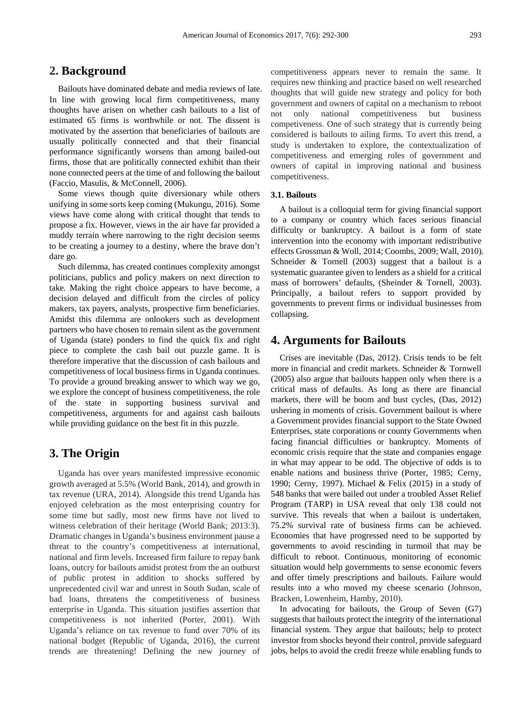## **2. Background**

Bailouts have dominated debate and media reviews of late. In line with growing local firm competitiveness, many thoughts have arisen on whether cash bailouts to a list of estimated 65 firms is worthwhile or not. The dissent is motivated by the assertion that beneficiaries of bailouts are usually politically connected and that their financial performance significantly worsens than among bailed-out firms, those that are politically connected exhibit than their none connected peers at the time of and following the bailout (Faccio, Masulis, & McConnell, 2006).

Some views though quite diversionary while others unifying in some sorts keep coming (Mukungu, 2016). Some views have come along with critical thought that tends to propose a fix. However, views in the air have far provided a muddy terrain where narrowing to the right decision seems to be creating a journey to a destiny, where the brave don't dare go.

Such dilemma, has created continues complexity amongst politicians, publics and policy makers on next direction to take. Making the right choice appears to have become, a decision delayed and difficult from the circles of policy makers, tax payers, analysts, prospective firm beneficiaries. Amidst this dilemma are onlookers such as development partners who have chosen to remain silent as the government of Uganda (state) ponders to find the quick fix and right piece to complete the cash bail out puzzle game. It is therefore imperative that the discussion of cash bailouts and competitiveness of local business firms in Uganda continues. To provide a ground breaking answer to which way we go, we explore the concept of business competitiveness, the role of the state in supporting business survival and competitiveness, arguments for and against cash bailouts while providing guidance on the best fit in this puzzle.

## **3. The Origin**

Uganda has over years manifested impressive economic growth averaged at 5.5% (World Bank, 2014), and growth in tax revenue (URA, 2014). Alongside this trend Uganda has enjoyed celebration as the most enterprising country for some time but sadly, most new firms have not lived to witness celebration of their heritage (World Bank; 2013:3). Dramatic changes in Uganda's business environment pause a threat to the country's competitiveness at international, national and firm levels. Increased firm failure to repay bank loans, outcry for bailouts amidst protest from the an outburst of public protest in addition to shocks suffered by unprecedented civil war and unrest in South Sudan, scale of bad loans, threatens the competitiveness of business enterprise in Uganda. This situation justifies assertion that competitiveness is not inherited (Porter, 2001). With Uganda's reliance on tax revenue to fund over 70% of its national budget (Republic of Uganda, 2016), the current trends are threatening! Defining the new journey of competitiveness appears never to remain the same. It requires new thinking and practice based on well researched thoughts that will guide new strategy and policy for both government and owners of capital on a mechanism to reboot not only national competitiveness but business competiveness. One of such strategy that is currently being considered is bailouts to ailing firms. To avert this trend, a study is undertaken to explore, the contextualization of competitiveness and emerging roles of government and owners of capital in improving national and business competitiveness.

#### **3.1. Bailouts**

A bailout is a colloquial term for giving financial support to a company or country which faces serious financial difficulty or bankruptcy. A bailout is a form of state intervention into the economy with important redistributive effects Grossman & Woll, 2014; Coombs, 2009; Wall, 2010). Schneider & Tornell (2003) suggest that a bailout is a systematic guarantee given to lenders as a shield for a critical mass of borrowers' defaults, (Sheinder & Tornell, 2003). Principally, a bailout refers to support provided by governments to prevent firms or individual businesses from collapsing.

#### **4. Arguments for Bailouts**

Crises are inevitable (Das, 2012). Crisis tends to be felt more in financial and credit markets. Schneider & Tornwell (2005) also argue that bailouts happen only when there is a critical mass of defaults. As long as there are financial markets, there will be boom and bust cycles, (Das, 2012) ushering in moments of crisis. Government bailout is where a Government provides financial support to the State Owned Enterprises, state corporations or county Governments when facing financial difficulties or bankruptcy. Moments of economic crisis require that the state and companies engage in what may appear to be odd. The objective of odds is to enable nations and business thrive (Porter, 1985; Cerny, 1990; Cerny, 1997). Michael & Felix (2015) in a study of 548 banks that were bailed out under a troubled Asset Relief Program (TARP) in USA reveal that only 138 could not survive. This reveals that when a bailout is undertaken, 75.2% survival rate of business firms can be achieved. Economies that have progressed need to be supported by governments to avoid rescinding in turmoil that may be difficult to reboot. Continuous, monitoring of economic situation would help governments to sense economic fevers and offer timely prescriptions and bailouts. Failure would results into a who moved my cheese scenario (Johnson, Bracken, Lowenheim, Hamby, 2010).

In advocating for bailouts, the Group of Seven (G7) suggests that bailouts protect the integrity of the international financial system. They argue that bailouts; help to protect investor from shocks beyond their control, provide safeguard jobs, helps to avoid the credit freeze while enabling funds to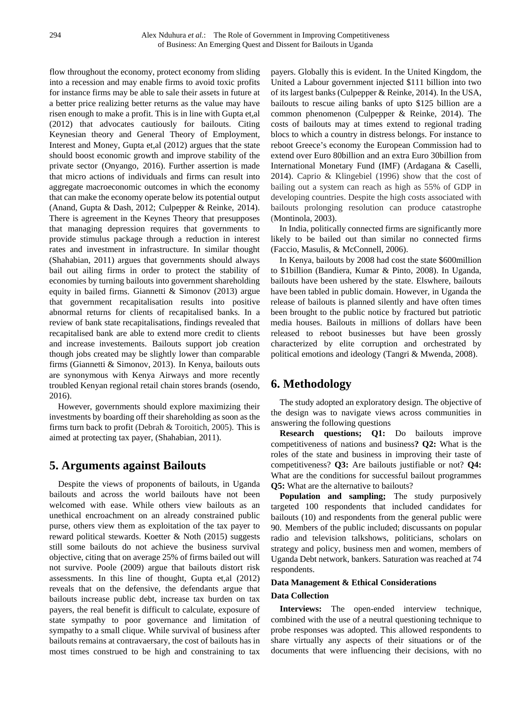flow throughout the economy, protect economy from sliding into a recession and may enable firms to avoid toxic profits for instance firms may be able to sale their assets in future at a better price realizing better returns as the value may have risen enough to make a profit. This is in line with Gupta et,al (2012) that advocates cautiously for bailouts. Citing Keynesian theory and General Theory of Employment, Interest and Money, Gupta et,al (2012) argues that the state should boost economic growth and improve stability of the private sector (Onyango, 2016). Further assertion is made that micro actions of individuals and firms can result into aggregate macroeconomic outcomes in which the economy that can make the economy operate below its potential output (Anand, Gupta & Dash, 2012; Culpepper & Reinke, 2014). There is agreement in the Keynes Theory that presupposes that managing depression requires that governments to provide stimulus package through a reduction in interest rates and investment in infrastructure. In similar thought (Shahabian, 2011) argues that governments should always bail out ailing firms in order to protect the stability of economies by turning bailouts into government shareholding equity in bailed firms. Giannetti & Simonov (2013) argue that government recapitalisation results into positive abnormal returns for clients of recapitalised banks. In a review of bank state recapitalisations, findings revealed that recapitalised bank are able to extend more credit to clients and increase investements. Bailouts support job creation though jobs created may be slightly lower than comparable firms (Giannetti & Simonov, 2013). In Kenya, bailouts outs are synonymous with Kenya Airways and more recently troubled Kenyan regional retail chain stores brands (osendo, 2016).

However, governments should explore maximizing their investments by boarding off their shareholding as soon as the firms turn back to profit (Debrah & Toroitich, 2005). This is aimed at protecting tax payer, (Shahabian, 2011).

# **5. Arguments against Bailouts**

Despite the views of proponents of bailouts, in Uganda bailouts and across the world bailouts have not been welcomed with ease. While others view bailouts as an unethical encroachment on an already constrained public purse, others view them as exploitation of the tax payer to reward political stewards. Koetter & Noth (2015) suggests still some bailouts do not achieve the business survival objective, citing that on average 25% of firms bailed out will not survive. Poole (2009) argue that bailouts distort risk assessments. In this line of thought, Gupta et,al (2012) reveals that on the defensive, the defendants argue that bailouts increase public debt, increase tax burden on tax payers, the real benefit is difficult to calculate, exposure of state sympathy to poor governance and limitation of sympathy to a small clique. While survival of business after bailouts remains at contravaersary, the cost of bailouts has in most times construed to be high and constraining to tax

payers. Globally this is evident. In the United Kingdom, the United a Labour government injected \$111 billion into two of its largest banks (Culpepper & Reinke, 2014). In the USA, bailouts to rescue ailing banks of upto \$125 billion are a common phenomenon (Culpepper & Reinke, 2014). The costs of bailouts may at times extend to regional trading blocs to which a country in distress belongs. For instance to reboot Greece's economy the European Commission had to extend over Euro 80billion and an extra Euro 30billion from International Monetary Fund (IMF) (Ardagana & Caselli, 2014). Caprio & Klingebiel (1996) show that the cost of bailing out a system can reach as high as 55% of GDP in developing countries. Despite the high costs associated with bailouts prolonging resolution can produce catastrophe (Montinola, 2003).

In India, politically connected firms are significantly more likely to be bailed out than similar no connected firms (Faccio, Masulis, & McConnell, 2006).

In Kenya, bailouts by 2008 had cost the state \$600million to \$1billion (Bandiera, Kumar & Pinto, 2008). In Uganda, bailouts have been ushered by the state. Elswhere, bailouts have been tabled in public domain. However, in Uganda the release of bailouts is planned silently and have often times been brought to the public notice by fractured but patriotic media houses. Bailouts in millions of dollars have been released to reboot businesses but have been grossly characterized by elite corruption and orchestrated by political emotions and ideology (Tangri & Mwenda, 2008).

# **6. Methodology**

The study adopted an exploratory design. The objective of the design was to navigate views across communities in answering the following questions

**Research questions; Q1:** Do bailouts improve competitiveness of nations and business**? Q2:** What is the roles of the state and business in improving their taste of competitiveness? **Q3:** Are bailouts justifiable or not? **Q4:** What are the conditions for successful bailout programmes **Q5:** What are the alternative to bailouts?

**Population and sampling;** The study purposively targeted 100 respondents that included candidates for bailouts (10) and respondents from the general public were 90. Members of the public included; discussants on popular radio and television talkshows, politicians, scholars on strategy and policy, business men and women, members of Uganda Debt network, bankers. Saturation was reached at 74 respondents.

#### **Data Management & Ethical Considerations**

#### **Data Collection**

**Interviews:** The open-ended interview technique, combined with the use of a neutral questioning technique to probe responses was adopted. This allowed respondents to share virtually any aspects of their situations or of the documents that were influencing their decisions, with no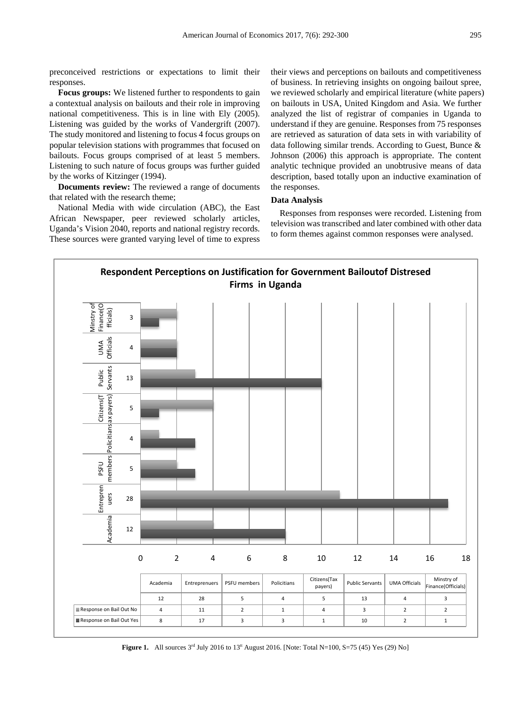preconceived restrictions or expectations to limit their responses.

**Focus groups:** We listened further to respondents to gain a contextual analysis on bailouts and their role in improving national competitiveness. This is in line with Ely (2005). Listening was guided by the works of Vandergrift (2007). The study monitored and listening to focus 4 focus groups on popular television stations with programmes that focused on bailouts. Focus groups comprised of at least 5 members. Listening to such nature of focus groups was further guided by the works of Kitzinger (1994).

**Documents review:** The reviewed a range of documents that related with the research theme;

National Media with wide circulation (ABC), the East African Newspaper, peer reviewed scholarly articles, Uganda's Vision 2040, reports and national registry records. These sources were granted varying level of time to express

their views and perceptions on bailouts and competitiveness of business. In retrieving insights on ongoing bailout spree, we reviewed scholarly and empirical literature (white papers) on bailouts in USA, United Kingdom and Asia. We further analyzed the list of registrar of companies in Uganda to understand if they are genuine. Responses from 75 responses are retrieved as saturation of data sets in with variability of data following similar trends. According to Guest, Bunce & Johnson (2006) this approach is appropriate. The content analytic technique provided an unobtrusive means of data description, based totally upon an inductive examination of the responses.

#### **Data Analysis**

Responses from responses were recorded. Listening from television was transcribed and later combined with other data to form themes against common responses were analysed.



**Figure 1.** All sources  $3<sup>rd</sup>$  July 2016 to  $13<sup>th</sup>$  August 2016. [Note: Total N=100, S=75 (45) Yes (29) No]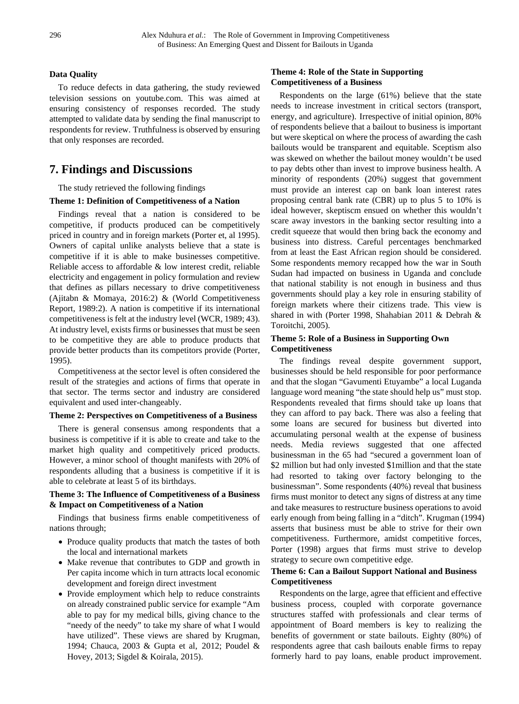#### **Data Quality**

To reduce defects in data gathering, the study reviewed television sessions on youtube.com. This was aimed at ensuring consistency of responses recorded. The study attempted to validate data by sending the final manuscript to respondents for review. Truthfulness is observed by ensuring that only responses are recorded.

# **7. Findings and Discussions**

The study retrieved the following findings

#### **Theme 1: Definition of Competitiveness of a Nation**

Findings reveal that a nation is considered to be competitive, if products produced can be competitively priced in country and in foreign markets (Porter et, al 1995). Owners of capital unlike analysts believe that a state is competitive if it is able to make businesses competitive. Reliable access to affordable & low interest credit, reliable electricity and engagement in policy formulation and review that defines as pillars necessary to drive competitiveness (Ajitabn & Momaya, 2016:2) & (World Competitiveness Report, 1989:2). A nation is competitive if its international competitiveness is felt at the industry level (WCR, 1989; 43). At industry level, exists firms or businesses that must be seen to be competitive they are able to produce products that provide better products than its competitors provide (Porter, 1995).

Competitiveness at the sector level is often considered the result of the strategies and actions of firms that operate in that sector. The terms sector and industry are considered equivalent and used inter-changeably.

#### **Theme 2: Perspectives on Competitiveness of a Business**

There is general consensus among respondents that a business is competitive if it is able to create and take to the market high quality and competitively priced products. However, a minor school of thought manifests with 20% of respondents alluding that a business is competitive if it is able to celebrate at least 5 of its birthdays.

#### **Theme 3: The Influence of Competitiveness of a Business & Impact on Competitiveness of a Nation**

Findings that business firms enable competitiveness of nations through;

- Produce quality products that match the tastes of both the local and international markets
- Make revenue that contributes to GDP and growth in Per capita income which in turn attracts local economic development and foreign direct investment
- Provide employment which help to reduce constraints on already constrained public service for example "Am able to pay for my medical bills, giving chance to the "needy of the needy" to take my share of what I would have utilized". These views are shared by Krugman, 1994; Chauca, 2003 & Gupta et al, 2012; Poudel & Hovey, 2013; Sigdel & Koirala, 2015).

#### **Theme 4: Role of the State in Supporting Competitiveness of a Business**

Respondents on the large (61%) believe that the state needs to increase investment in critical sectors (transport, energy, and agriculture). Irrespective of initial opinion, 80% of respondents believe that a bailout to business is important but were skeptical on where the process of awarding the cash bailouts would be transparent and equitable. Sceptism also was skewed on whether the bailout money wouldn't be used to pay debts other than invest to improve business health. A minority of respondents (20%) suggest that government must provide an interest cap on bank loan interest rates proposing central bank rate (CBR) up to plus 5 to 10% is ideal however, skeptiscm ensued on whether this wouldn't scare away investors in the banking sector resulting into a credit squeeze that would then bring back the economy and business into distress. Careful percentages benchmarked from at least the East African region should be considered. Some respondents memory recapped how the war in South Sudan had impacted on business in Uganda and conclude that national stability is not enough in business and thus governments should play a key role in ensuring stability of foreign markets where their citizens trade. This view is shared in with (Porter 1998, Shahabian 2011 & Debrah & Toroitchi, 2005).

#### **Theme 5: Role of a Business in Supporting Own Competitiveness**

The findings reveal despite government support, businesses should be held responsible for poor performance and that the slogan "Gavumenti Etuyambe" a local Luganda language word meaning "the state should help us" must stop. Respondents revealed that firms should take up loans that they can afford to pay back. There was also a feeling that some loans are secured for business but diverted into accumulating personal wealth at the expense of business needs. Media reviews suggested that one affected businessman in the 65 had "secured a government loan of \$2 million but had only invested \$1 million and that the state had resorted to taking over factory belonging to the businessman". Some respondents (40%) reveal that business firms must monitor to detect any signs of distress at any time and take measures to restructure business operations to avoid early enough from being falling in a "ditch". Krugman (1994) asserts that business must be able to strive for their own competitiveness. Furthermore, amidst competitive forces, Porter (1998) argues that firms must strive to develop strategy to secure own competitive edge.

#### **Theme 6: Can a Bailout Support National and Business Competitiveness**

Respondents on the large, agree that efficient and effective business process, coupled with corporate governance structures staffed with professionals and clear terms of appointment of Board members is key to realizing the benefits of government or state bailouts. Eighty (80%) of respondents agree that cash bailouts enable firms to repay formerly hard to pay loans, enable product improvement.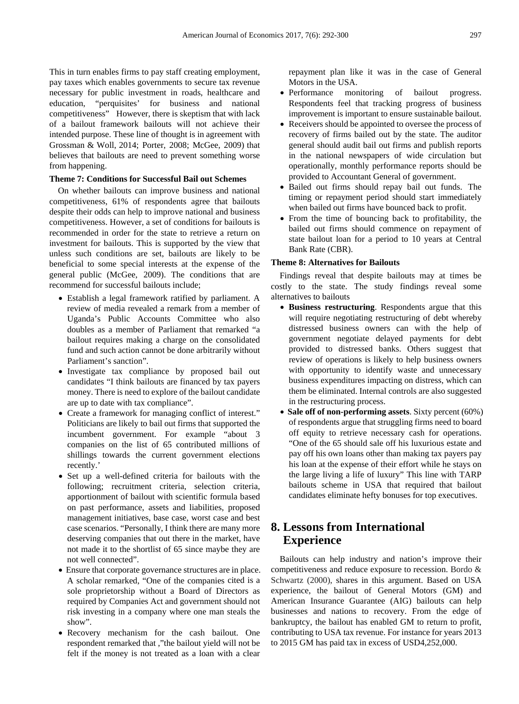This in turn enables firms to pay staff creating employment, pay taxes which enables governments to secure tax revenue necessary for public investment in roads, healthcare and education, "perquisites' for business and national competitiveness" However, there is skeptism that with lack of a bailout framework bailouts will not achieve their intended purpose. These line of thought is in agreement with Grossman & Woll, 2014; Porter, 2008; McGee, 2009) that believes that bailouts are need to prevent something worse from happening.

#### **Theme 7: Conditions for Successful Bail out Schemes**

On whether bailouts can improve business and national competitiveness, 61% of respondents agree that bailouts despite their odds can help to improve national and business competitiveness. However, a set of conditions for bailouts is recommended in order for the state to retrieve a return on investment for bailouts. This is supported by the view that unless such conditions are set, bailouts are likely to be beneficial to some special interests at the expense of the general public (McGee, 2009). The conditions that are recommend for successful bailouts include;

- Establish a legal framework ratified by parliament. A review of media revealed a remark from a member of Uganda's Public Accounts Committee who also doubles as a member of Parliament that remarked "a bailout requires making a charge on the consolidated fund and such action cannot be done arbitrarily without Parliament's sanction".
- Investigate tax compliance by proposed bail out candidates "I think bailouts are financed by tax payers money. There is need to explore of the bailout candidate are up to date with tax compliance".
- Create a framework for managing conflict of interest." Politicians are likely to bail out firms that supported the incumbent government. For example "about 3 companies on the list of 65 contributed millions of shillings towards the current government elections recently.'
- Set up a well-defined criteria for bailouts with the following; recruitment criteria, selection criteria, apportionment of bailout with scientific formula based on past performance, assets and liabilities, proposed management initiatives, base case, worst case and best case scenarios. "Personally, I think there are many more deserving companies that out there in the market, have not made it to the shortlist of 65 since maybe they are not well connected".
- Ensure that corporate governance structures are in place. A scholar remarked, "One of the companies cited is a sole proprietorship without a Board of Directors as required by Companies Act and government should not risk investing in a company where one man steals the show".
- Recovery mechanism for the cash bailout. One respondent remarked that ,"the bailout yield will not be felt if the money is not treated as a loan with a clear

repayment plan like it was in the case of General Motors in the USA.

- Performance monitoring of bailout progress. Respondents feel that tracking progress of business improvement is important to ensure sustainable bailout.
- Receivers should be appointed to oversee the process of recovery of firms bailed out by the state. The auditor general should audit bail out firms and publish reports in the national newspapers of wide circulation but operationally, monthly performance reports should be provided to Accountant General of government.
- Bailed out firms should repay bail out funds. The timing or repayment period should start immediately when bailed out firms have bounced back to profit.
- From the time of bouncing back to profitability, the bailed out firms should commence on repayment of state bailout loan for a period to 10 years at Central Bank Rate (CBR).

#### **Theme 8: Alternatives for Bailouts**

Findings reveal that despite bailouts may at times be costly to the state. The study findings reveal some alternatives to bailouts

- **Business restructuring**. Respondents argue that this will require negotiating restructuring of debt whereby distressed business owners can with the help of government negotiate delayed payments for debt provided to distressed banks. Others suggest that review of operations is likely to help business owners with opportunity to identify waste and unnecessary business expenditures impacting on distress, which can them be eliminated. Internal controls are also suggested in the restructuring process.
- **Sale off of non-performing assets**. Sixty percent (60%) of respondents argue that struggling firms need to board off equity to retrieve necessary cash for operations. "One of the 65 should sale off his luxurious estate and pay off his own loans other than making tax payers pay his loan at the expense of their effort while he stays on the large living a life of luxury" This line with TARP bailouts scheme in USA that required that bailout candidates eliminate hefty bonuses for top executives.

# **8. Lessons from International Experience**

Bailouts can help industry and nation's improve their competitiveness and reduce exposure to recession. Bordo & Schwartz (2000), shares in this argument. Based on USA experience, the bailout of General Motors (GM) and American Insurance Guarantee (AIG) bailouts can help businesses and nations to recovery. From the edge of bankruptcy, the bailout has enabled GM to return to profit, contributing to USA tax revenue. For instance for years 2013 to 2015 GM has paid tax in excess of USD4,252,000.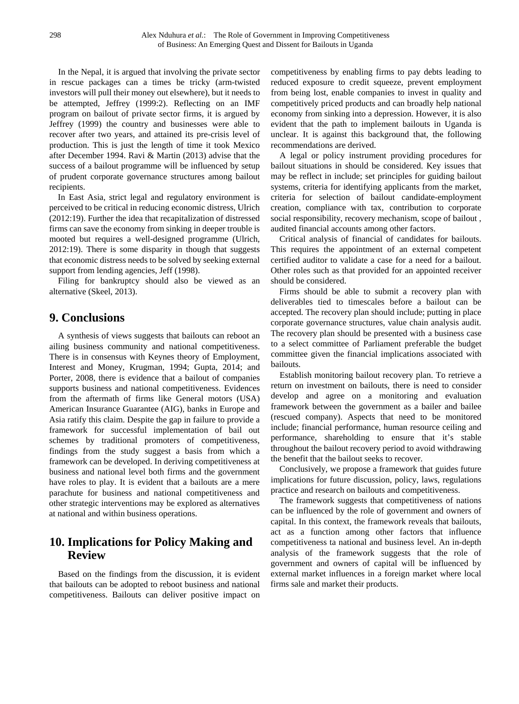In the Nepal, it is argued that involving the private sector in rescue packages can a times be tricky (arm-twisted investors will pull their money out elsewhere), but it needs to be attempted, Jeffrey (1999:2). Reflecting on an IMF program on bailout of private sector firms, it is argued by Jeffrey (1999) the country and businesses were able to recover after two years, and attained its pre-crisis level of production. This is just the length of time it took Mexico after December 1994. Ravi & Martin (2013) advise that the success of a bailout programme will be influenced by setup of prudent corporate governance structures among bailout recipients.

In East Asia, strict legal and regulatory environment is perceived to be critical in reducing economic distress, Ulrich (2012:19). Further the idea that recapitalization of distressed firms can save the economy from sinking in deeper trouble is mooted but requires a well-designed programme (Ulrich, 2012:19). There is some disparity in though that suggests that economic distress needs to be solved by seeking external support from lending agencies, Jeff (1998).

Filing for bankruptcy should also be viewed as an alternative (Skeel, 2013).

## **9. Conclusions**

A synthesis of views suggests that bailouts can reboot an ailing business community and national competitiveness. There is in consensus with Keynes theory of Employment, Interest and Money, Krugman, 1994; Gupta, 2014; and Porter, 2008, there is evidence that a bailout of companies supports business and national competitiveness. Evidences from the aftermath of firms like General motors (USA) American Insurance Guarantee (AIG), banks in Europe and Asia ratify this claim. Despite the gap in failure to provide a framework for successful implementation of bail out schemes by traditional promoters of competitiveness, findings from the study suggest a basis from which a framework can be developed. In deriving competitiveness at business and national level both firms and the government have roles to play. It is evident that a bailouts are a mere parachute for business and national competitiveness and other strategic interventions may be explored as alternatives at national and within business operations.

## **10. Implications for Policy Making and Review**

Based on the findings from the discussion, it is evident that bailouts can be adopted to reboot business and national competitiveness. Bailouts can deliver positive impact on

competitiveness by enabling firms to pay debts leading to reduced exposure to credit squeeze, prevent employment from being lost, enable companies to invest in quality and competitively priced products and can broadly help national economy from sinking into a depression. However, it is also evident that the path to implement bailouts in Uganda is unclear. It is against this background that, the following recommendations are derived.

A legal or policy instrument providing procedures for bailout situations in should be considered. Key issues that may be reflect in include; set principles for guiding bailout systems, criteria for identifying applicants from the market, criteria for selection of bailout candidate-employment creation, compliance with tax, contribution to corporate social responsibility, recovery mechanism, scope of bailout , audited financial accounts among other factors.

Critical analysis of financial of candidates for bailouts. This requires the appointment of an external competent certified auditor to validate a case for a need for a bailout. Other roles such as that provided for an appointed receiver should be considered.

Firms should be able to submit a recovery plan with deliverables tied to timescales before a bailout can be accepted. The recovery plan should include; putting in place corporate governance structures, value chain analysis audit. The recovery plan should be presented with a business case to a select committee of Parliament preferable the budget committee given the financial implications associated with bailouts.

Establish monitoring bailout recovery plan. To retrieve a return on investment on bailouts, there is need to consider develop and agree on a monitoring and evaluation framework between the government as a bailer and bailee (rescued company). Aspects that need to be monitored include; financial performance, human resource ceiling and performance, shareholding to ensure that it's stable throughout the bailout recovery period to avoid withdrawing the benefit that the bailout seeks to recover.

Conclusively, we propose a framework that guides future implications for future discussion, policy, laws, regulations practice and research on bailouts and competitiveness.

The framework suggests that competitiveness of nations can be influenced by the role of government and owners of capital. In this context, the framework reveals that bailouts, act as a function among other factors that influence competitiveness ta national and business level. An in-depth analysis of the framework suggests that the role of government and owners of capital will be influenced by external market influences in a foreign market where local firms sale and market their products.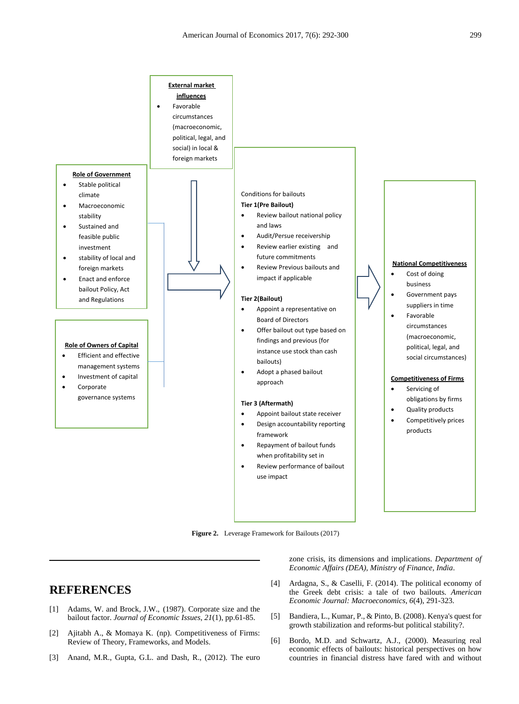

**Figure 2.** Leverage Framework for Bailouts (2017)

# **REFERENCES**

- [1] Adams, W. and Brock, J.W., (1987). Corporate size and the bailout factor. *Journal of Economic Issues*, *21*(1), pp.61-85.
- [2] Ajitabh A., & Momaya K. (np). Competitiveness of Firms: Review of Theory, Frameworks, and Models.
- [3] Anand, M.R., Gupta, G.L. and Dash, R., (2012). The euro

zone crisis, its dimensions and implications. *Department of Economic Affairs (DEA), Ministry of Finance, India*.

- [4] Ardagna, S., & Caselli, F. (2014). The political economy of the Greek debt crisis: a tale of two bailouts. *American Economic Journal: Macroeconomics*, *6*(4), 291-323.
- [5] Bandiera, L., Kumar, P., & Pinto, B. (2008). Kenya's quest for growth stabilization and reforms-but political stability?.
- [6] Bordo, M.D. and Schwartz, A.J., (2000). Measuring real economic effects of bailouts: historical perspectives on how countries in financial distress have fared with and without